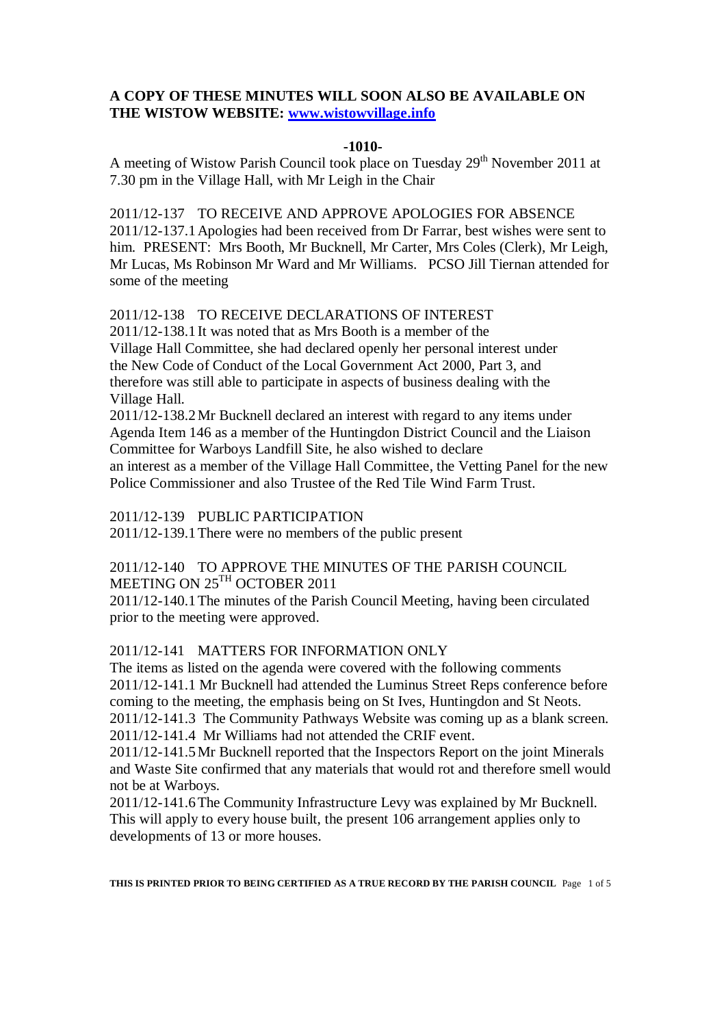## **A COPY OF THESE MINUTES WILL SOON ALSO BE AVAILABLE ON THE WISTOW WEBSITE: [www.wistowvillage.info](http://www.wistowvillage.info/)**

#### **-1010-**

A meeting of Wistow Parish Council took place on Tuesday  $29<sup>th</sup>$  November 2011 at 7.30 pm in the Village Hall, with Mr Leigh in the Chair

2011/12-137 TO RECEIVE AND APPROVE APOLOGIES FOR ABSENCE 2011/12-137.1Apologies had been received from Dr Farrar, best wishes were sent to him. PRESENT: Mrs Booth, Mr Bucknell, Mr Carter, Mrs Coles (Clerk), Mr Leigh, Mr Lucas, Ms Robinson Mr Ward and Mr Williams. PCSO Jill Tiernan attended for some of the meeting

2011/12-138 TO RECEIVE DECLARATIONS OF INTEREST

2011/12-138.1It was noted that as Mrs Booth is a member of the Village Hall Committee, she had declared openly her personal interest under the New Code of Conduct of the Local Government Act 2000, Part 3, and therefore was still able to participate in aspects of business dealing with the Village Hall.

2011/12-138.2Mr Bucknell declared an interest with regard to any items under Agenda Item 146 as a member of the Huntingdon District Council and the Liaison Committee for Warboys Landfill Site, he also wished to declare an interest as a member of the Village Hall Committee, the Vetting Panel for the new Police Commissioner and also Trustee of the Red Tile Wind Farm Trust.

2011/12-139 PUBLIC PARTICIPATION

2011/12-139.1There were no members of the public present

# 2011/12-140 TO APPROVE THE MINUTES OF THE PARISH COUNCIL MEETING ON 25<sup>TH</sup> OCTOBER 2011

2011/12-140.1The minutes of the Parish Council Meeting, having been circulated prior to the meeting were approved.

## 2011/12-141 MATTERS FOR INFORMATION ONLY

The items as listed on the agenda were covered with the following comments 2011/12-141.1 Mr Bucknell had attended the Luminus Street Reps conference before coming to the meeting, the emphasis being on St Ives, Huntingdon and St Neots. 2011/12-141.3 The Community Pathways Website was coming up as a blank screen. 2011/12-141.4 Mr Williams had not attended the CRIF event.

2011/12-141.5Mr Bucknell reported that the Inspectors Report on the joint Minerals and Waste Site confirmed that any materials that would rot and therefore smell would not be at Warboys.

2011/12-141.6The Community Infrastructure Levy was explained by Mr Bucknell. This will apply to every house built, the present 106 arrangement applies only to developments of 13 or more houses.

**THIS IS PRINTED PRIOR TO BEING CERTIFIED AS A TRUE RECORD BY THE PARISH COUNCIL** Page 1 of 5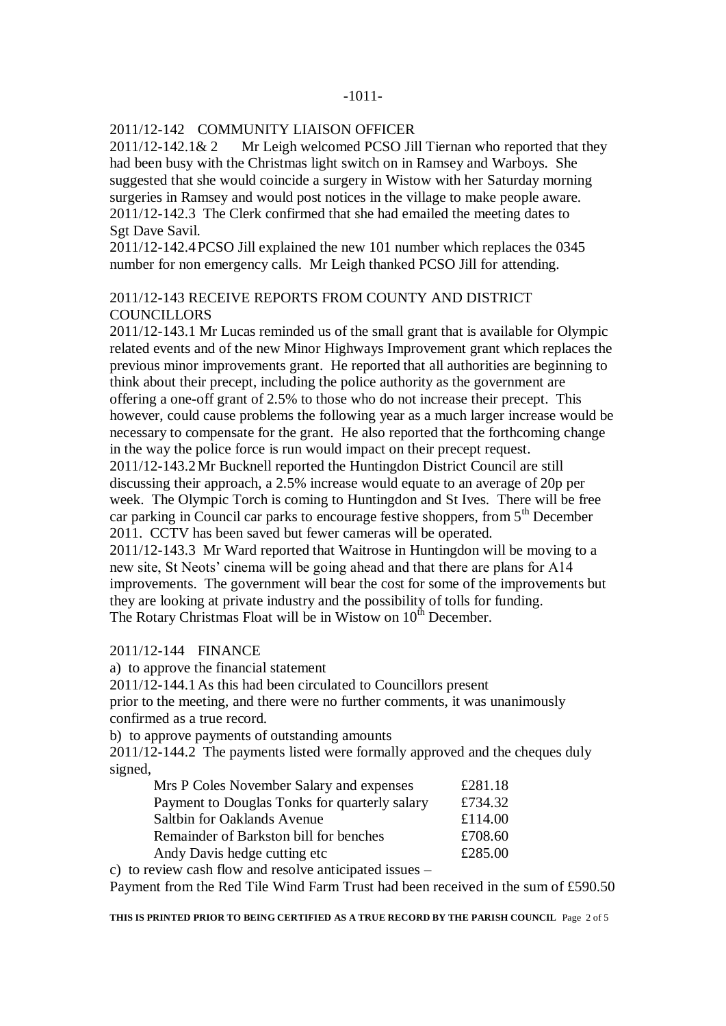#### -1011-

## 2011/12-142 COMMUNITY LIAISON OFFICER

2011/12-142.1& 2 Mr Leigh welcomed PCSO Jill Tiernan who reported that they had been busy with the Christmas light switch on in Ramsey and Warboys. She suggested that she would coincide a surgery in Wistow with her Saturday morning surgeries in Ramsey and would post notices in the village to make people aware. 2011/12-142.3 The Clerk confirmed that she had emailed the meeting dates to Sgt Dave Savil.

2011/12-142.4PCSO Jill explained the new 101 number which replaces the 0345 number for non emergency calls. Mr Leigh thanked PCSO Jill for attending.

### 2011/12-143 RECEIVE REPORTS FROM COUNTY AND DISTRICT **COUNCILLORS**

2011/12-143.1 Mr Lucas reminded us of the small grant that is available for Olympic related events and of the new Minor Highways Improvement grant which replaces the previous minor improvements grant. He reported that all authorities are beginning to think about their precept, including the police authority as the government are offering a one-off grant of 2.5% to those who do not increase their precept. This however, could cause problems the following year as a much larger increase would be necessary to compensate for the grant. He also reported that the forthcoming change in the way the police force is run would impact on their precept request. 2011/12-143.2Mr Bucknell reported the Huntingdon District Council are still discussing their approach, a 2.5% increase would equate to an average of 20p per week. The Olympic Torch is coming to Huntingdon and St Ives. There will be free car parking in Council car parks to encourage festive shoppers, from 5<sup>th</sup> December 2011. CCTV has been saved but fewer cameras will be operated. 2011/12-143.3 Mr Ward reported that Waitrose in Huntingdon will be moving to a new site, St Neots' cinema will be going ahead and that there are plans for A14 improvements. The government will bear the cost for some of the improvements but they are looking at private industry and the possibility of tolls for funding.

The Rotary Christmas Float will be in Wistow on  $10<sup>th</sup>$  December.

### 2011/12-144 FINANCE

a) to approve the financial statement

2011/12-144.1As this had been circulated to Councillors present

prior to the meeting, and there were no further comments, it was unanimously confirmed as a true record.

b) to approve payments of outstanding amounts

2011/12-144.2 The payments listed were formally approved and the cheques duly signed,

| Mrs P Coles November Salary and expenses      | £281.18 |
|-----------------------------------------------|---------|
| Payment to Douglas Tonks for quarterly salary | £734.32 |
| <b>Saltbin for Oaklands Avenue</b>            | £114.00 |
| <b>Remainder of Barkston bill for benches</b> | £708.60 |
| Andy Davis hedge cutting etc.                 | £285.00 |

c) to review cash flow and resolve anticipated issues –

Payment from the Red Tile Wind Farm Trust had been received in the sum of £590.50

**THIS IS PRINTED PRIOR TO BEING CERTIFIED AS A TRUE RECORD BY THE PARISH COUNCIL** Page 2 of 5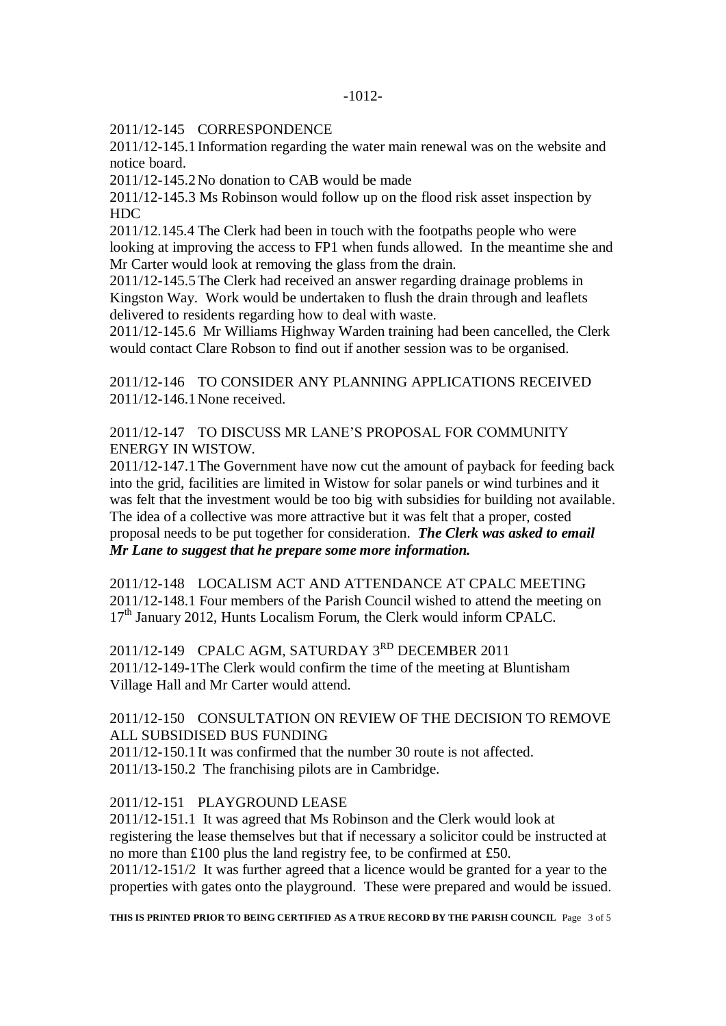2011/12-145 CORRESPONDENCE

2011/12-145.1Information regarding the water main renewal was on the website and notice board.

2011/12-145.2No donation to CAB would be made

2011/12-145.3 Ms Robinson would follow up on the flood risk asset inspection by HDC

2011/12.145.4 The Clerk had been in touch with the footpaths people who were looking at improving the access to FP1 when funds allowed. In the meantime she and Mr Carter would look at removing the glass from the drain.

2011/12-145.5The Clerk had received an answer regarding drainage problems in Kingston Way. Work would be undertaken to flush the drain through and leaflets delivered to residents regarding how to deal with waste.

2011/12-145.6 Mr Williams Highway Warden training had been cancelled, the Clerk would contact Clare Robson to find out if another session was to be organised.

2011/12-146 TO CONSIDER ANY PLANNING APPLICATIONS RECEIVED 2011/12-146.1None received.

2011/12-147 TO DISCUSS MR LANE'S PROPOSAL FOR COMMUNITY ENERGY IN WISTOW.

2011/12-147.1The Government have now cut the amount of payback for feeding back into the grid, facilities are limited in Wistow for solar panels or wind turbines and it was felt that the investment would be too big with subsidies for building not available. The idea of a collective was more attractive but it was felt that a proper, costed proposal needs to be put together for consideration. *The Clerk was asked to email Mr Lane to suggest that he prepare some more information.*

2011/12-148 LOCALISM ACT AND ATTENDANCE AT CPALC MEETING 2011/12-148.1 Four members of the Parish Council wished to attend the meeting on 17<sup>th</sup> January 2012, Hunts Localism Forum, the Clerk would inform CPALC.

2011/12-149 CPALC AGM, SATURDAY 3RD DECEMBER 2011 2011/12-149-1The Clerk would confirm the time of the meeting at Bluntisham Village Hall and Mr Carter would attend.

# 2011/12-150 CONSULTATION ON REVIEW OF THE DECISION TO REMOVE ALL SUBSIDISED BUS FUNDING

2011/12-150.1It was confirmed that the number 30 route is not affected. 2011/13-150.2 The franchising pilots are in Cambridge.

## 2011/12-151 PLAYGROUND LEASE

2011/12-151.1 It was agreed that Ms Robinson and the Clerk would look at registering the lease themselves but that if necessary a solicitor could be instructed at no more than £100 plus the land registry fee, to be confirmed at £50. 2011/12-151/2 It was further agreed that a licence would be granted for a year to the properties with gates onto the playground. These were prepared and would be issued.

**THIS IS PRINTED PRIOR TO BEING CERTIFIED AS A TRUE RECORD BY THE PARISH COUNCIL** Page 3 of 5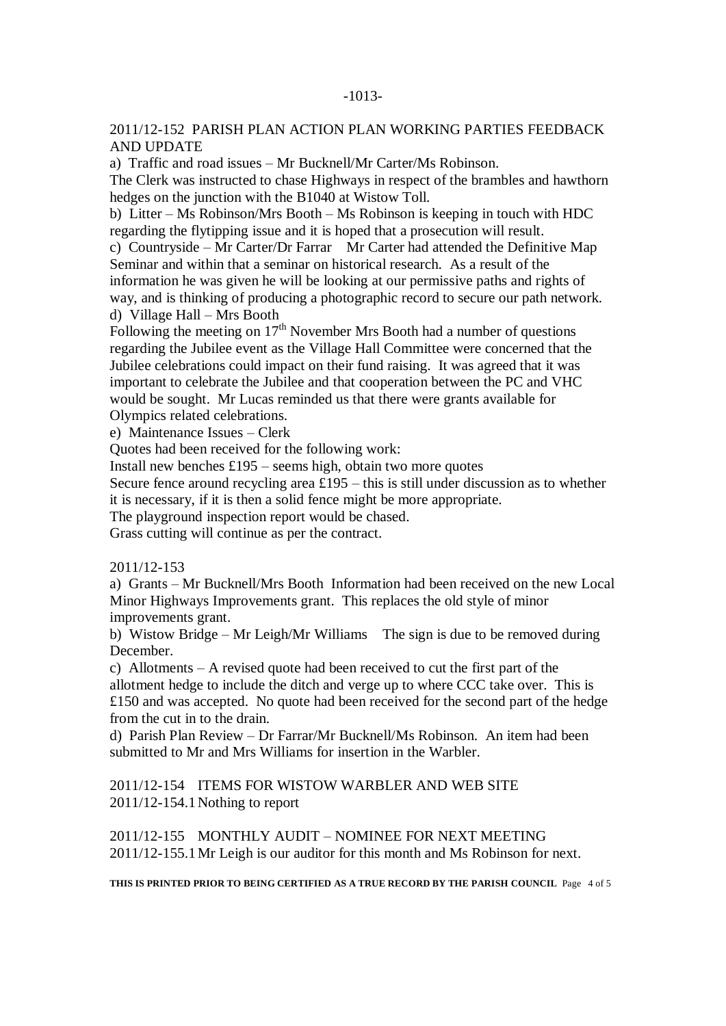### -1013-

## 2011/12-152 PARISH PLAN ACTION PLAN WORKING PARTIES FEEDBACK AND UPDATE

a) Traffic and road issues – Mr Bucknell/Mr Carter/Ms Robinson.

The Clerk was instructed to chase Highways in respect of the brambles and hawthorn hedges on the junction with the B1040 at Wistow Toll.

b) Litter – Ms Robinson/Mrs Booth – Ms Robinson is keeping in touch with HDC regarding the flytipping issue and it is hoped that a prosecution will result.

c) Countryside – Mr Carter/Dr Farrar Mr Carter had attended the Definitive Map Seminar and within that a seminar on historical research. As a result of the information he was given he will be looking at our permissive paths and rights of way, and is thinking of producing a photographic record to secure our path network. d) Village Hall – Mrs Booth

Following the meeting on  $17<sup>th</sup>$  November Mrs Booth had a number of questions regarding the Jubilee event as the Village Hall Committee were concerned that the Jubilee celebrations could impact on their fund raising. It was agreed that it was important to celebrate the Jubilee and that cooperation between the PC and VHC would be sought. Mr Lucas reminded us that there were grants available for Olympics related celebrations.

e) Maintenance Issues – Clerk

Quotes had been received for the following work:

Install new benches  $£195$  – seems high, obtain two more quotes

Secure fence around recycling area  $£195 - this$  is still under discussion as to whether it is necessary, if it is then a solid fence might be more appropriate.

The playground inspection report would be chased.

Grass cutting will continue as per the contract.

#### 2011/12-153

a) Grants – Mr Bucknell/Mrs Booth Information had been received on the new Local Minor Highways Improvements grant. This replaces the old style of minor improvements grant.

b) Wistow Bridge – Mr Leigh/Mr Williams The sign is due to be removed during December.

c) Allotments – A revised quote had been received to cut the first part of the

allotment hedge to include the ditch and verge up to where CCC take over. This is £150 and was accepted. No quote had been received for the second part of the hedge from the cut in to the drain.

d) Parish Plan Review – Dr Farrar/Mr Bucknell/Ms Robinson. An item had been submitted to Mr and Mrs Williams for insertion in the Warbler.

2011/12-154 ITEMS FOR WISTOW WARBLER AND WEB SITE 2011/12-154.1Nothing to report

2011/12-155 MONTHLY AUDIT – NOMINEE FOR NEXT MEETING 2011/12-155.1Mr Leigh is our auditor for this month and Ms Robinson for next.

**THIS IS PRINTED PRIOR TO BEING CERTIFIED AS A TRUE RECORD BY THE PARISH COUNCIL** Page 4 of 5